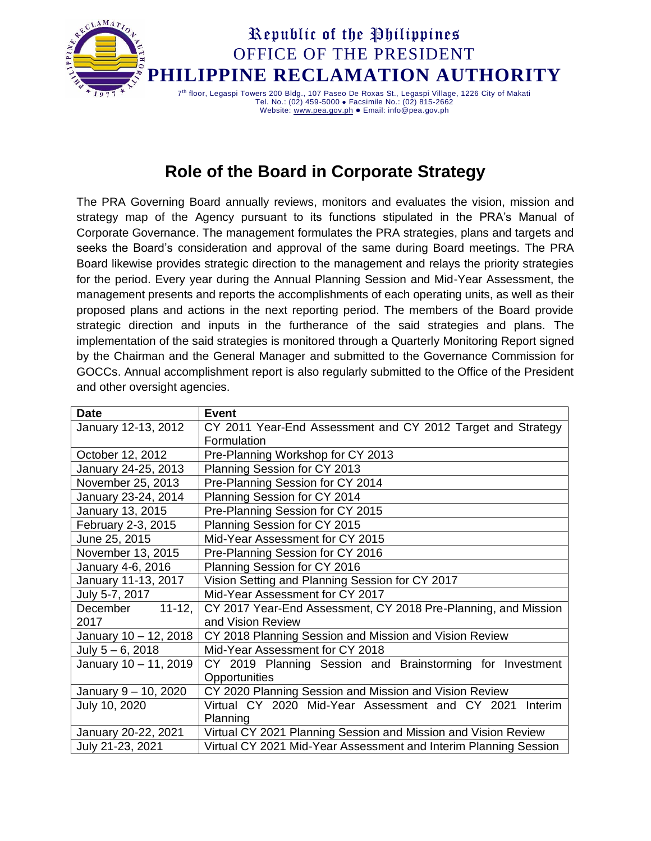

#### **Role of the Board in Corporate Strategy**

The PRA Governing Board annually reviews, monitors and evaluates the vision, mission and strategy map of the Agency pursuant to its functions stipulated in the PRA's Manual of Corporate Governance. The management formulates the PRA strategies, plans and targets and seeks the Board's consideration and approval of the same during Board meetings. The PRA Board likewise provides strategic direction to the management and relays the priority strategies for the period. Every year during the Annual Planning Session and Mid-Year Assessment, the management presents and reports the accomplishments of each operating units, as well as their proposed plans and actions in the next reporting period. The members of the Board provide strategic direction and inputs in the furtherance of the said strategies and plans. The implementation of the said strategies is monitored through a Quarterly Monitoring Report signed by the Chairman and the General Manager and submitted to the Governance Commission for GOCCs. Annual accomplishment report is also regularly submitted to the Office of the President and other oversight agencies.

| <b>Date</b>           | <b>Event</b>                                                     |
|-----------------------|------------------------------------------------------------------|
| January 12-13, 2012   | CY 2011 Year-End Assessment and CY 2012 Target and Strategy      |
|                       | Formulation                                                      |
| October 12, 2012      | Pre-Planning Workshop for CY 2013                                |
| January 24-25, 2013   | Planning Session for CY 2013                                     |
| November 25, 2013     | Pre-Planning Session for CY 2014                                 |
| January 23-24, 2014   | Planning Session for CY 2014                                     |
| January 13, 2015      | Pre-Planning Session for CY 2015                                 |
| February 2-3, 2015    | Planning Session for CY 2015                                     |
| June 25, 2015         | Mid-Year Assessment for CY 2015                                  |
| November 13, 2015     | Pre-Planning Session for CY 2016                                 |
| January 4-6, 2016     | Planning Session for CY 2016                                     |
| January 11-13, 2017   | Vision Setting and Planning Session for CY 2017                  |
| July 5-7, 2017        | Mid-Year Assessment for CY 2017                                  |
| December 11-12,       | CY 2017 Year-End Assessment, CY 2018 Pre-Planning, and Mission   |
| 2017                  | and Vision Review                                                |
| January 10 - 12, 2018 | CY 2018 Planning Session and Mission and Vision Review           |
| July $5 - 6$ , 2018   | Mid-Year Assessment for CY 2018                                  |
| January 10 - 11, 2019 | CY 2019 Planning Session and Brainstorming for Investment        |
|                       | Opportunities                                                    |
| January 9 - 10, 2020  | CY 2020 Planning Session and Mission and Vision Review           |
| July 10, 2020         | Virtual CY 2020 Mid-Year Assessment and CY 2021<br>Interim       |
|                       | Planning                                                         |
| January 20-22, 2021   | Virtual CY 2021 Planning Session and Mission and Vision Review   |
| July 21-23, 2021      | Virtual CY 2021 Mid-Year Assessment and Interim Planning Session |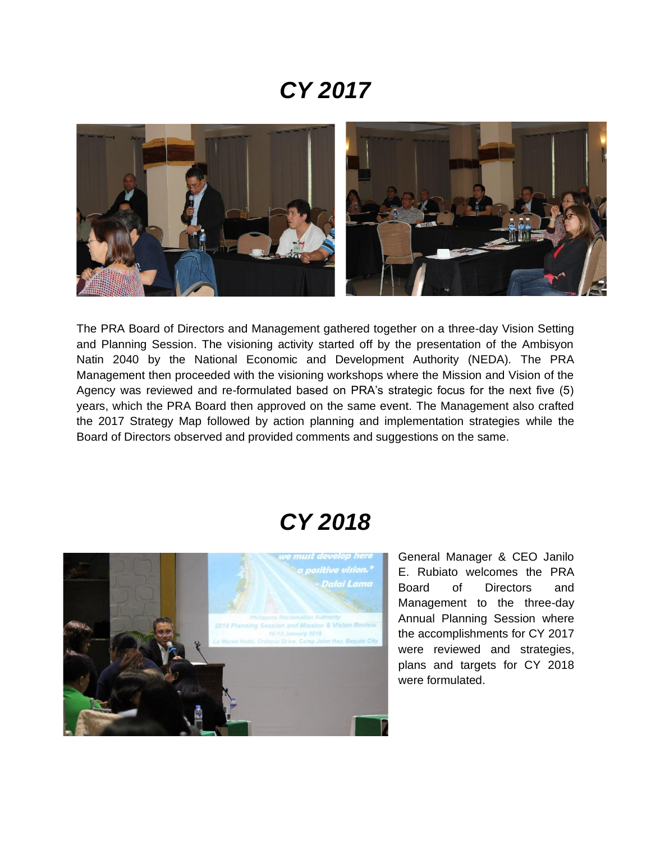### *CY 2017*



The PRA Board of Directors and Management gathered together on a three-day Vision Setting and Planning Session. The visioning activity started off by the presentation of the Ambisyon Natin 2040 by the National Economic and Development Authority (NEDA). The PRA Management then proceeded with the visioning workshops where the Mission and Vision of the Agency was reviewed and re-formulated based on PRA's strategic focus for the next five (5) years, which the PRA Board then approved on the same event. The Management also crafted the 2017 Strategy Map followed by action planning and implementation strategies while the Board of Directors observed and provided comments and suggestions on the same.

### *CY 2018*



General Manager & CEO Janilo E. Rubiato welcomes the PRA Board of Directors and Management to the three-day Annual Planning Session where the accomplishments for CY 2017 were reviewed and strategies, plans and targets for CY 2018 were formulated.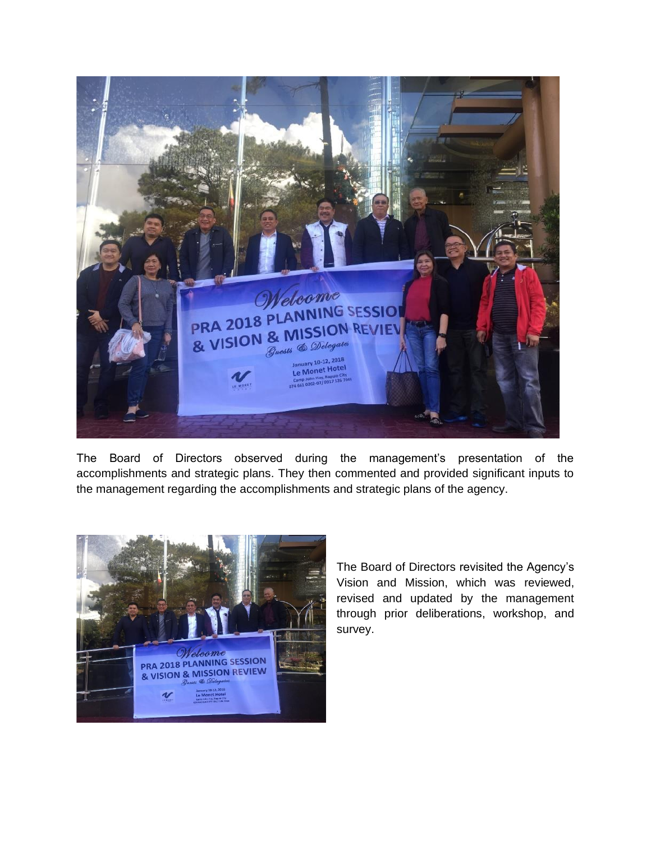

The Board of Directors observed during the management's presentation of the accomplishments and strategic plans. They then commented and provided significant inputs to the management regarding the accomplishments and strategic plans of the agency.



The Board of Directors revisited the Agency's Vision and Mission, which was reviewed, revised and updated by the management through prior deliberations, workshop, and survey.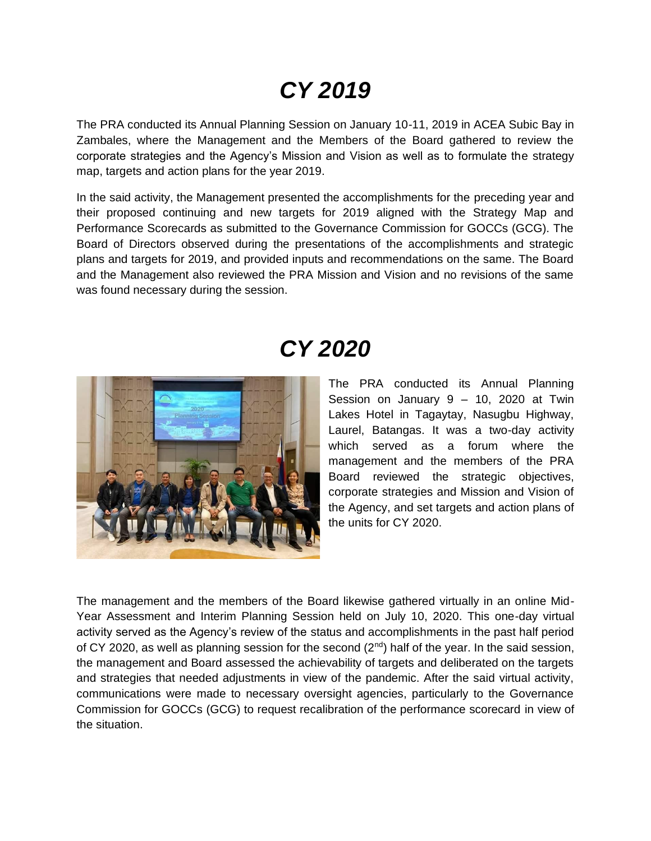# *CY 2019*

The PRA conducted its Annual Planning Session on January 10-11, 2019 in ACEA Subic Bay in Zambales, where the Management and the Members of the Board gathered to review the corporate strategies and the Agency's Mission and Vision as well as to formulate the strategy map, targets and action plans for the year 2019.

In the said activity, the Management presented the accomplishments for the preceding year and their proposed continuing and new targets for 2019 aligned with the Strategy Map and Performance Scorecards as submitted to the Governance Commission for GOCCs (GCG). The Board of Directors observed during the presentations of the accomplishments and strategic plans and targets for 2019, and provided inputs and recommendations on the same. The Board and the Management also reviewed the PRA Mission and Vision and no revisions of the same was found necessary during the session.

## *CY 2020*



The PRA conducted its Annual Planning Session on January 9 – 10, 2020 at Twin Lakes Hotel in Tagaytay, Nasugbu Highway, Laurel, Batangas. It was a two-day activity which served as a forum where the management and the members of the PRA Board reviewed the strategic objectives, corporate strategies and Mission and Vision of the Agency, and set targets and action plans of the units for CY 2020.

The management and the members of the Board likewise gathered virtually in an online Mid-Year Assessment and Interim Planning Session held on July 10, 2020. This one-day virtual activity served as the Agency's review of the status and accomplishments in the past half period of CY 2020, as well as planning session for the second  $(2^{nd})$  half of the year. In the said session, the management and Board assessed the achievability of targets and deliberated on the targets and strategies that needed adjustments in view of the pandemic. After the said virtual activity, communications were made to necessary oversight agencies, particularly to the Governance Commission for GOCCs (GCG) to request recalibration of the performance scorecard in view of the situation.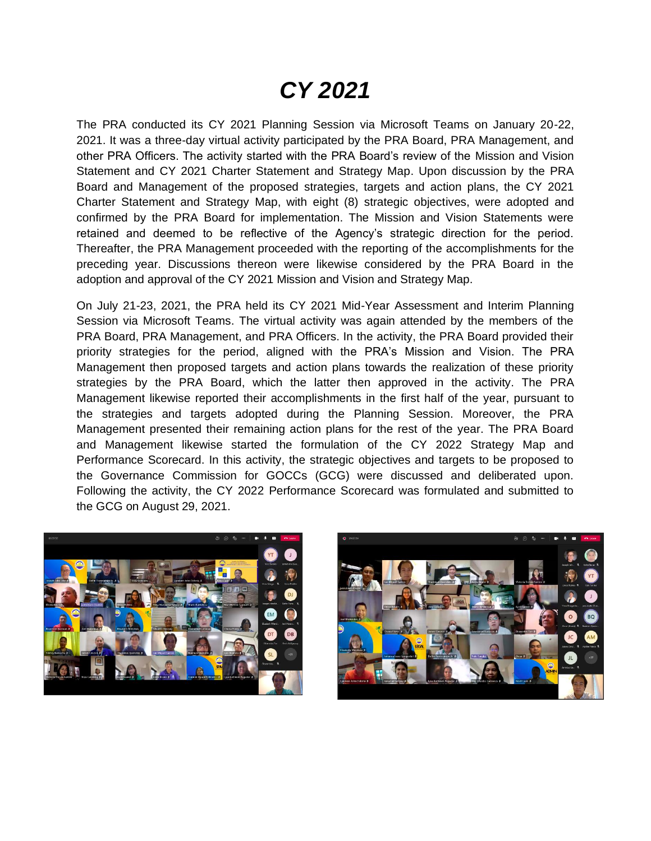# *CY 2021*

The PRA conducted its CY 2021 Planning Session via Microsoft Teams on January 20-22, 2021. It was a three-day virtual activity participated by the PRA Board, PRA Management, and other PRA Officers. The activity started with the PRA Board's review of the Mission and Vision Statement and CY 2021 Charter Statement and Strategy Map. Upon discussion by the PRA Board and Management of the proposed strategies, targets and action plans, the CY 2021 Charter Statement and Strategy Map, with eight (8) strategic objectives, were adopted and confirmed by the PRA Board for implementation. The Mission and Vision Statements were retained and deemed to be reflective of the Agency's strategic direction for the period. Thereafter, the PRA Management proceeded with the reporting of the accomplishments for the preceding year. Discussions thereon were likewise considered by the PRA Board in the adoption and approval of the CY 2021 Mission and Vision and Strategy Map.

On July 21-23, 2021, the PRA held its CY 2021 Mid-Year Assessment and Interim Planning Session via Microsoft Teams. The virtual activity was again attended by the members of the PRA Board, PRA Management, and PRA Officers. In the activity, the PRA Board provided their priority strategies for the period, aligned with the PRA's Mission and Vision. The PRA Management then proposed targets and action plans towards the realization of these priority strategies by the PRA Board, which the latter then approved in the activity. The PRA Management likewise reported their accomplishments in the first half of the year, pursuant to the strategies and targets adopted during the Planning Session. Moreover, the PRA Management presented their remaining action plans for the rest of the year. The PRA Board and Management likewise started the formulation of the CY 2022 Strategy Map and Performance Scorecard. In this activity, the strategic objectives and targets to be proposed to the Governance Commission for GOCCs (GCG) were discussed and deliberated upon. Following the activity, the CY 2022 Performance Scorecard was formulated and submitted to the GCG on August 29, 2021.